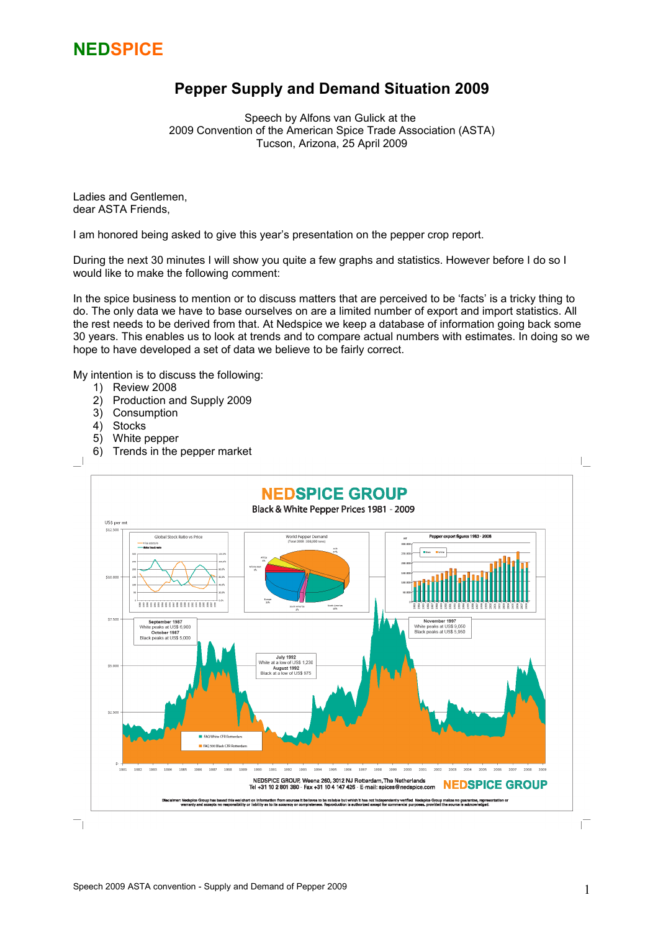

### **Pepper Supply and Demand Situation 2009**

Speech by Alfons van Gulick at the 2009 Convention of the American Spice Trade Association (ASTA) Tucson, Arizona, 25 April 2009

Ladies and Gentlemen, dear ASTA Friends,

I am honored being asked to give this year's presentation on the pepper crop report.

During the next 30 minutes I will show you quite a few graphs and statistics. However before I do so I would like to make the following comment:

In the spice business to mention or to discuss matters that are perceived to be 'facts' is a tricky thing to do. The only data we have to base ourselves on are a limited number of export and import statistics. All the rest needs to be derived from that. At Nedspice we keep a database of information going back some 30 years. This enables us to look at trends and to compare actual numbers with estimates. In doing so we hope to have developed a set of data we believe to be fairly correct.

My intention is to discuss the following:

- 1) Review 2008
- 2) Production and Supply 2009
- 3) Consumption
- 4) Stocks
- 5) White pepper
- 6) Trends in the pepper market

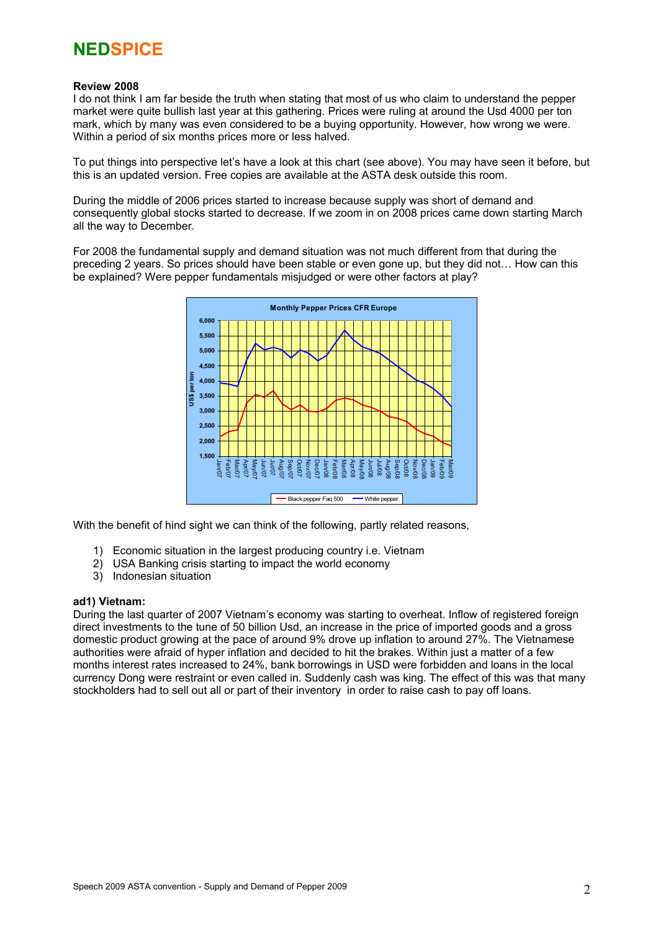### **Review 2008**

I do not think I am far beside the truth when stating that most of us who claim to understand the pepper market were quite bullish last year at this gathering. Prices were ruling at around the Usd 4000 per ton mark, which by many was even considered to be a buying opportunity. However, how wrong we were. Within a period of six months prices more or less halved.

To put things into perspective let's have a look at this chart (see above). You may have seen it before, but this is an updated version. Free copies are available at the ASTA desk outside this room.

During the middle of 2006 prices started to increase because supply was short of demand and consequently global stocks started to decrease. If we zoom in on 2008 prices came down starting March all the way to December.

For 2008 the fundamental supply and demand situation was not much different from that during the preceding 2 years. So prices should have been stable or even gone up, but they did not… How can this be explained? Were pepper fundamentals misjudged or were other factors at play?



With the benefit of hind sight we can think of the following, partly related reasons,

- 1) Economic situation in the largest producing country i.e. Vietnam
- 2) USA Banking crisis starting to impact the world economy
- 3) Indonesian situation

#### **ad1) Vietnam:**

During the last quarter of 2007 Vietnam's economy was starting to overheat. Inflow of registered foreign direct investments to the tune of 50 billion Usd, an increase in the price of imported goods and a gross domestic product growing at the pace of around 9% drove up inflation to around 27%. The Vietnamese authorities were afraid of hyper inflation and decided to hit the brakes. Within just a matter of a few months interest rates increased to 24%, bank borrowings in USD were forbidden and loans in the local currency Dong were restraint or even called in. Suddenly cash was king. The effect of this was that many stockholders had to sell out all or part of their inventory in order to raise cash to pay off loans.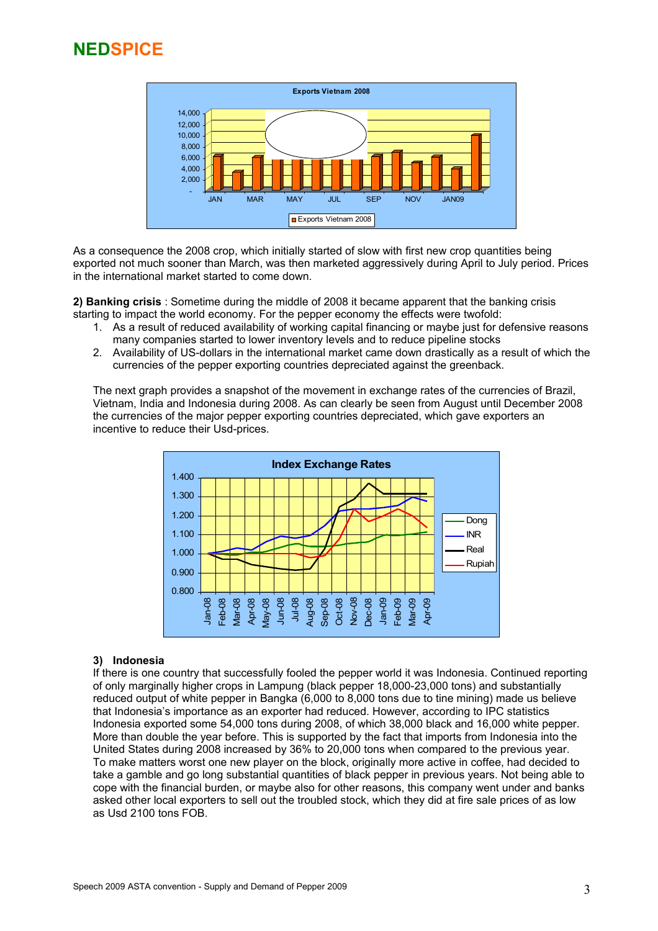

As a consequence the 2008 crop, which initially started of slow with first new crop quantities being exported not much sooner than March, was then marketed aggressively during April to July period. Prices in the international market started to come down.

**2) Banking crisis** : Sometime during the middle of 2008 it became apparent that the banking crisis starting to impact the world economy. For the pepper economy the effects were twofold:

- 1. As a result of reduced availability of working capital financing or maybe just for defensive reasons many companies started to lower inventory levels and to reduce pipeline stocks
- 2. Availability of US-dollars in the international market came down drastically as a result of which the currencies of the pepper exporting countries depreciated against the greenback.

The next graph provides a snapshot of the movement in exchange rates of the currencies of Brazil, Vietnam, India and Indonesia during 2008. As can clearly be seen from August until December 2008 the currencies of the major pepper exporting countries depreciated, which gave exporters an incentive to reduce their Usd-prices.



### **3) Indonesia**

If there is one country that successfully fooled the pepper world it was Indonesia. Continued reporting of only marginally higher crops in Lampung (black pepper 18,000-23,000 tons) and substantially reduced output of white pepper in Bangka (6,000 to 8,000 tons due to tine mining) made us believe that Indonesia's importance as an exporter had reduced. However, according to IPC statistics Indonesia exported some 54,000 tons during 2008, of which 38,000 black and 16,000 white pepper. More than double the year before. This is supported by the fact that imports from Indonesia into the United States during 2008 increased by 36% to 20,000 tons when compared to the previous year. To make matters worst one new player on the block, originally more active in coffee, had decided to take a gamble and go long substantial quantities of black pepper in previous years. Not being able to cope with the financial burden, or maybe also for other reasons, this company went under and banks asked other local exporters to sell out the troubled stock, which they did at fire sale prices of as low as Usd 2100 tons FOB.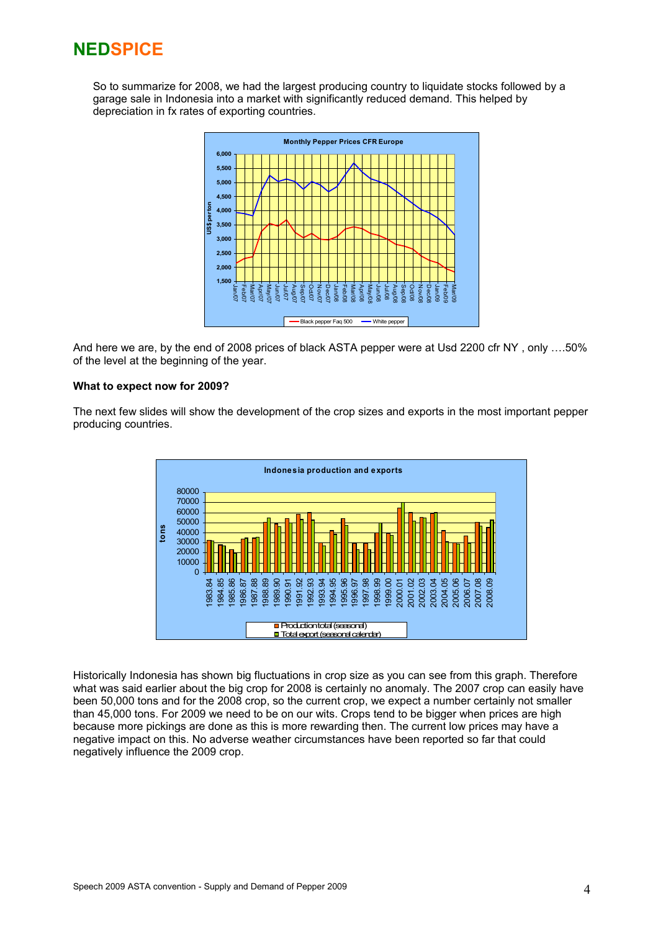So to summarize for 2008, we had the largest producing country to liquidate stocks followed by a garage sale in Indonesia into a market with significantly reduced demand. This helped by depreciation in fx rates of exporting countries.



And here we are, by the end of 2008 prices of black ASTA pepper were at Usd 2200 cfr NY , only ….50% of the level at the beginning of the year.

### **What to expect now for 2009?**

The next few slides will show the development of the crop sizes and exports in the most important pepper producing countries.



Historically Indonesia has shown big fluctuations in crop size as you can see from this graph. Therefore what was said earlier about the big crop for 2008 is certainly no anomaly. The 2007 crop can easily have been 50,000 tons and for the 2008 crop, so the current crop, we expect a number certainly not smaller than 45,000 tons. For 2009 we need to be on our wits. Crops tend to be bigger when prices are high because more pickings are done as this is more rewarding then. The current low prices may have a negative impact on this. No adverse weather circumstances have been reported so far that could negatively influence the 2009 crop.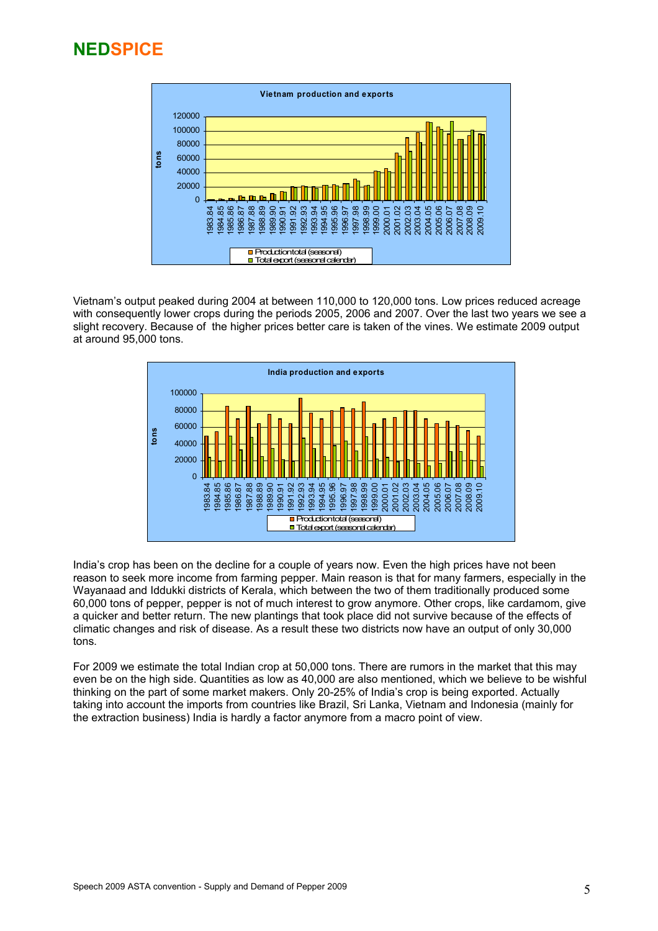

Vietnam's output peaked during 2004 at between 110,000 to 120,000 tons. Low prices reduced acreage with consequently lower crops during the periods 2005, 2006 and 2007. Over the last two years we see a slight recovery. Because of the higher prices better care is taken of the vines. We estimate 2009 output at around 95,000 tons.



India's crop has been on the decline for a couple of years now. Even the high prices have not been reason to seek more income from farming pepper. Main reason is that for many farmers, especially in the Wayanaad and Iddukki districts of Kerala, which between the two of them traditionally produced some 60,000 tons of pepper, pepper is not of much interest to grow anymore. Other crops, like cardamom, give a quicker and better return. The new plantings that took place did not survive because of the effects of climatic changes and risk of disease. As a result these two districts now have an output of only 30,000 tons.

For 2009 we estimate the total Indian crop at 50,000 tons. There are rumors in the market that this may even be on the high side. Quantities as low as 40,000 are also mentioned, which we believe to be wishful thinking on the part of some market makers. Only 20-25% of India's crop is being exported. Actually taking into account the imports from countries like Brazil, Sri Lanka, Vietnam and Indonesia (mainly for the extraction business) India is hardly a factor anymore from a macro point of view.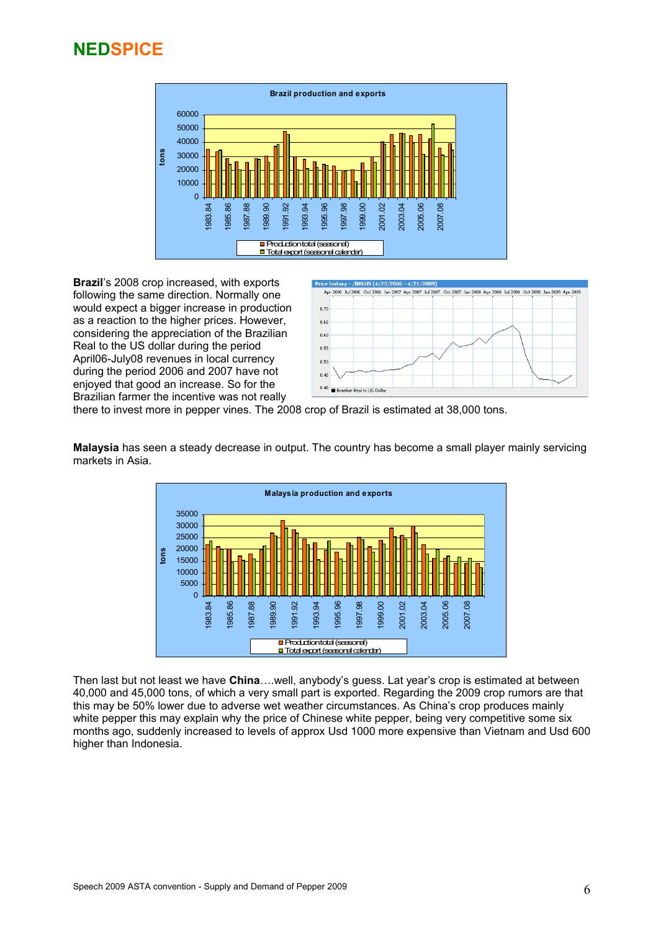

**Brazil**'s 2008 crop increased, with exports following the same direction. Normally one would expect a bigger increase in production as a reaction to the higher prices. However, considering the appreciation of the Brazilian Real to the US dollar during the period April06-July08 revenues in local currency during the period 2006 and 2007 have not enjoyed that good an increase. So for the Brazilian farmer the incentive was not really



there to invest more in pepper vines. The 2008 crop of Brazil is estimated at 38,000 tons.

**Malaysia** has seen a steady decrease in output. The country has become a small player mainly servicing markets in Asia.



Then last but not least we have **China**….well, anybody's guess. Lat year's crop is estimated at between 40,000 and 45,000 tons, of which a very small part is exported. Regarding the 2009 crop rumors are that this may be 50% lower due to adverse wet weather circumstances. As China's crop produces mainly white pepper this may explain why the price of Chinese white pepper, being very competitive some six months ago, suddenly increased to levels of approx Usd 1000 more expensive than Vietnam and Usd 600 higher than Indonesia.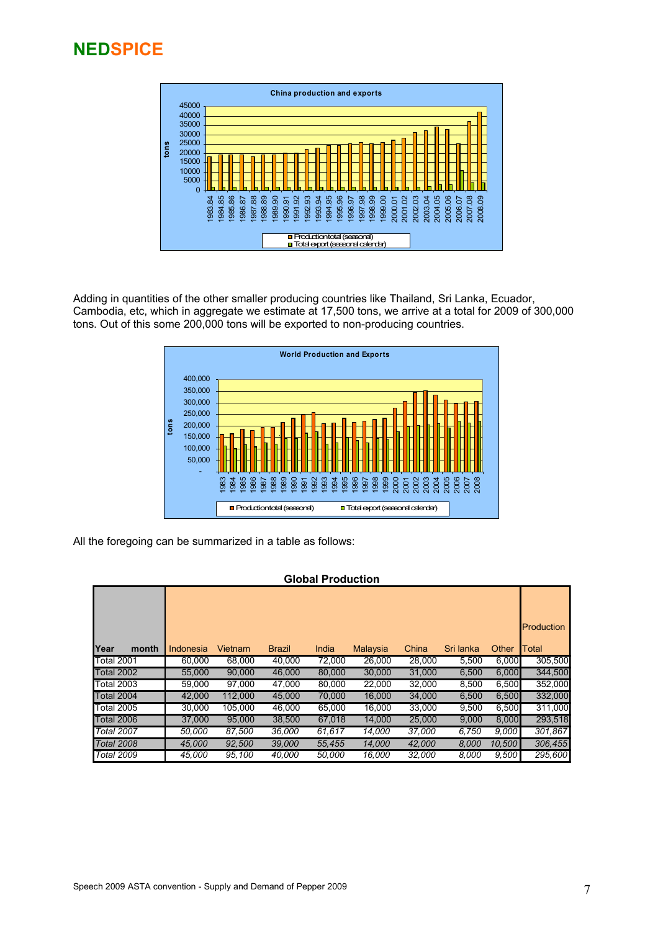

Adding in quantities of the other smaller producing countries like Thailand, Sri Lanka, Ecuador, Cambodia, etc, which in aggregate we estimate at 17,500 tons, we arrive at a total for 2009 of 300,000 tons. Out of this some 200,000 tons will be exported to non-producing countries.



All the foregoing can be summarized in a table as follows:

### **Global Production**

|                   |           |                |               |        |          |        |           |        | <b>Production</b> |
|-------------------|-----------|----------------|---------------|--------|----------|--------|-----------|--------|-------------------|
| Year<br>month     | Indonesia | <b>Vietnam</b> | <b>Brazil</b> | India  | Malaysia | China  | Sri lanka | Other  | Total             |
| Total 2001        | 60.000    | 68.000         | 40,000        | 72,000 | 26,000   | 28,000 | 5,500     | 6,000  | 305,500           |
| Total 2002        | 55,000    | 90,000         | 46,000        | 80,000 | 30,000   | 31,000 | 6,500     | 6,000  | 344,500           |
| Total 2003        | 59,000    | 97,000         | 47,000        | 80,000 | 22,000   | 32,000 | 8,500     | 6,500  | 352,000           |
| Total 2004        | 42,000    | 112,000        | 45,000        | 70,000 | 16,000   | 34,000 | 6,500     | 6,500  | 332,000           |
| Total 2005        | 30.000    | 105.000        | 46,000        | 65,000 | 16,000   | 33,000 | 9,500     | 6,500  | 311,000           |
| <b>Total 2006</b> | 37,000    | 95,000         | 38,500        | 67,018 | 14,000   | 25,000 | 9,000     | 8,000  | 293,518           |
| Total 2007        | 50,000    | 87.500         | 36,000        | 61.617 | 14,000   | 37,000 | 6,750     | 9,000  | 301,867           |
| Total 2008        | 45,000    | 92.500         | 39,000        | 55,455 | 14,000   | 42,000 | 8,000     | 10,500 | 306,455           |
| <b>Total 2009</b> | 45.000    | 95.100         | 40.000        | 50.000 | 16,000   | 32,000 | 8.000     | 9,500  | 295,600           |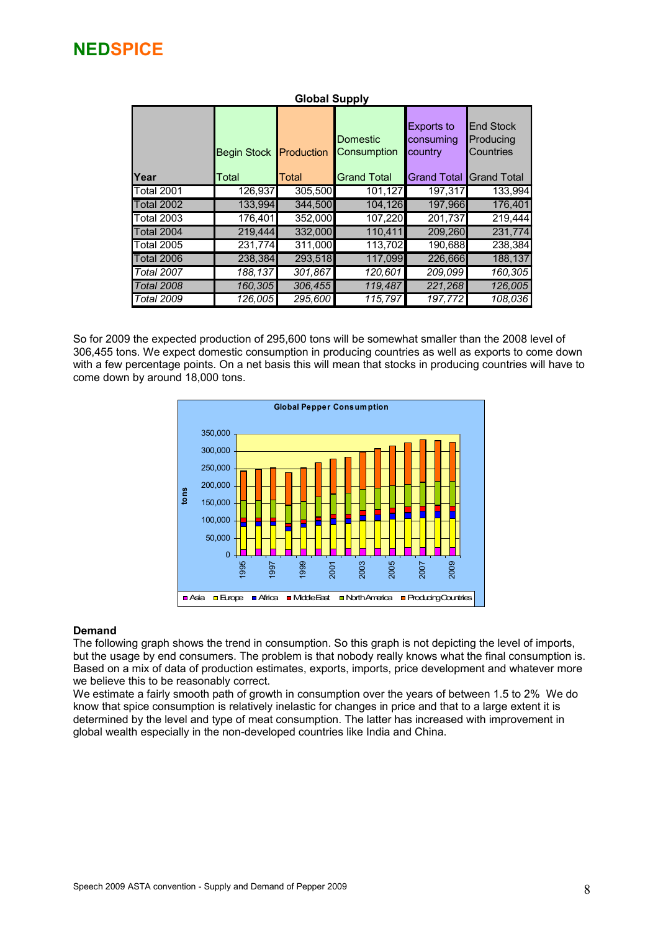| <b>Global Supply</b> |                             |                     |                                               |                                                                 |                                                                    |  |  |
|----------------------|-----------------------------|---------------------|-----------------------------------------------|-----------------------------------------------------------------|--------------------------------------------------------------------|--|--|
| Year                 | <b>Begin Stock</b><br>Total | Production<br>Total | Domestic<br>Consumption<br><b>Grand Total</b> | <b>Exports to</b><br>consuming<br>country<br><b>Grand Total</b> | <b>End Stock</b><br>Producing<br>Countries<br><b>I</b> Grand Total |  |  |
| <b>Total 2001</b>    | 126,937                     | 305,500             | 101,127                                       | 197,317                                                         | 133.994                                                            |  |  |
| <b>Total 2002</b>    | 133,994                     | 344.500             | 104,126                                       | 197,966                                                         | 176,401                                                            |  |  |
| <b>Total 2003</b>    | 176,401                     | 352,000             | 107.220                                       | 201.737                                                         | 219,444                                                            |  |  |
| <b>Total 2004</b>    | 219.444                     | 332.000             | 110.411                                       | 209.260                                                         | 231,774                                                            |  |  |
| <b>Total 2005</b>    | 231,774                     | 311,000             | 113,702                                       | 190,688                                                         | 238,384                                                            |  |  |
| <b>Total 2006</b>    | 238.384                     | 293,518             | 117,099                                       | 226,666                                                         | 188,137                                                            |  |  |
| <b>Total 2007</b>    | 188,137                     | 301,867             | 120,601                                       | 209,099                                                         | 160,305                                                            |  |  |
| <b>Total 2008</b>    | 160,305                     | 306,455             | 119,487                                       | 221,268                                                         | 126,005                                                            |  |  |
| <b>Total 2009</b>    | 126,005                     | 295,600             | 115,797                                       | 197,772                                                         | 108,036                                                            |  |  |

### So for 2009 the expected production of 295,600 tons will be somewhat smaller than the 2008 level of 306,455 tons. We expect domestic consumption in producing countries as well as exports to come down with a few percentage points. On a net basis this will mean that stocks in producing countries will have to come down by around 18,000 tons.



### **Demand**

The following graph shows the trend in consumption. So this graph is not depicting the level of imports, but the usage by end consumers. The problem is that nobody really knows what the final consumption is. Based on a mix of data of production estimates, exports, imports, price development and whatever more we believe this to be reasonably correct.

We estimate a fairly smooth path of growth in consumption over the years of between 1.5 to 2% We do know that spice consumption is relatively inelastic for changes in price and that to a large extent it is determined by the level and type of meat consumption. The latter has increased with improvement in global wealth especially in the non-developed countries like India and China.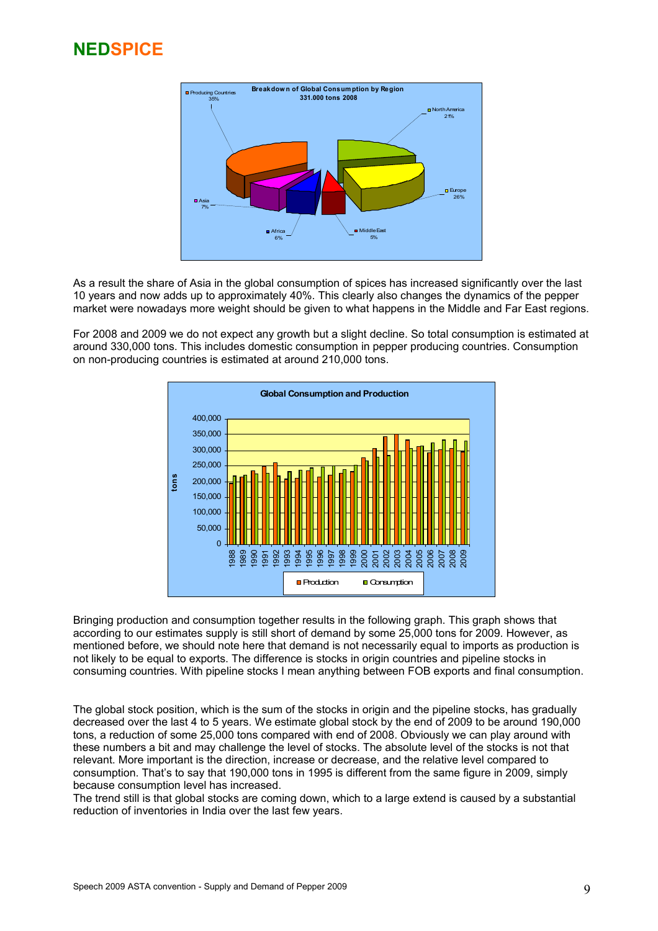

As a result the share of Asia in the global consumption of spices has increased significantly over the last 10 years and now adds up to approximately 40%. This clearly also changes the dynamics of the pepper market were nowadays more weight should be given to what happens in the Middle and Far East regions.

For 2008 and 2009 we do not expect any growth but a slight decline. So total consumption is estimated at around 330,000 tons. This includes domestic consumption in pepper producing countries. Consumption on non-producing countries is estimated at around 210,000 tons.



Bringing production and consumption together results in the following graph. This graph shows that according to our estimates supply is still short of demand by some 25,000 tons for 2009. However, as mentioned before, we should note here that demand is not necessarily equal to imports as production is not likely to be equal to exports. The difference is stocks in origin countries and pipeline stocks in consuming countries. With pipeline stocks I mean anything between FOB exports and final consumption.

The global stock position, which is the sum of the stocks in origin and the pipeline stocks, has gradually decreased over the last 4 to 5 years. We estimate global stock by the end of 2009 to be around 190,000 tons, a reduction of some 25,000 tons compared with end of 2008. Obviously we can play around with these numbers a bit and may challenge the level of stocks. The absolute level of the stocks is not that relevant. More important is the direction, increase or decrease, and the relative level compared to consumption. That's to say that 190,000 tons in 1995 is different from the same figure in 2009, simply because consumption level has increased.

The trend still is that global stocks are coming down, which to a large extend is caused by a substantial reduction of inventories in India over the last few years.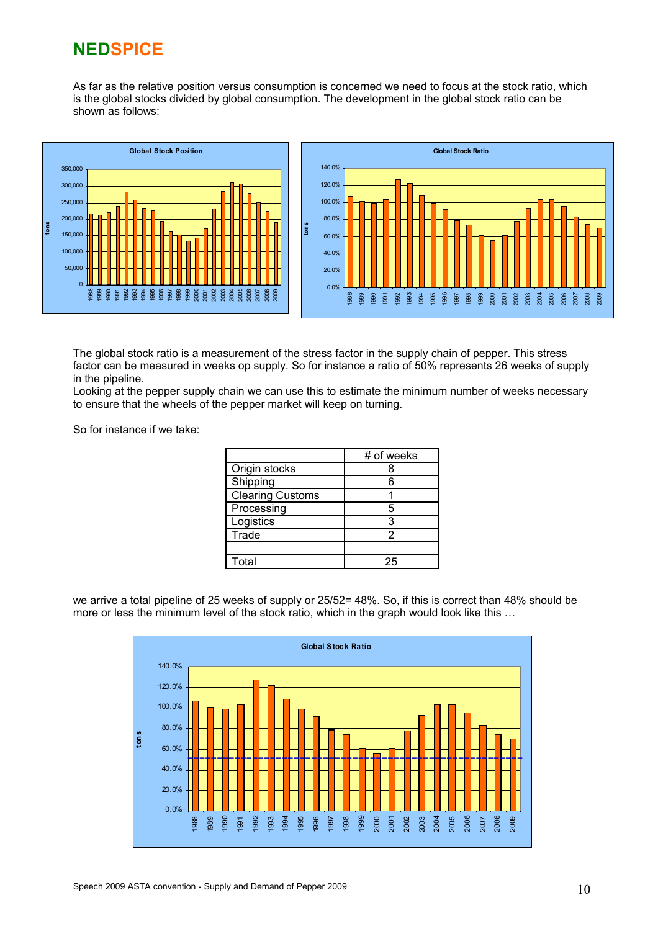As far as the relative position versus consumption is concerned we need to focus at the stock ratio, which is the global stocks divided by global consumption. The development in the global stock ratio can be shown as follows:



The global stock ratio is a measurement of the stress factor in the supply chain of pepper. This stress factor can be measured in weeks op supply. So for instance a ratio of 50% represents 26 weeks of supply in the pipeline.

Looking at the pepper supply chain we can use this to estimate the minimum number of weeks necessary to ensure that the wheels of the pepper market will keep on turning.

So for instance if we take:

|                         | # of weeks |
|-------------------------|------------|
| Origin stocks           |            |
| Shipping                | հ          |
| <b>Clearing Customs</b> |            |
| Processing              | 5          |
| Logistics               | 3          |
| Trade                   |            |
|                         |            |
| Total                   | つに         |

we arrive a total pipeline of 25 weeks of supply or 25/52= 48%. So, if this is correct than 48% should be more or less the minimum level of the stock ratio, which in the graph would look like this …

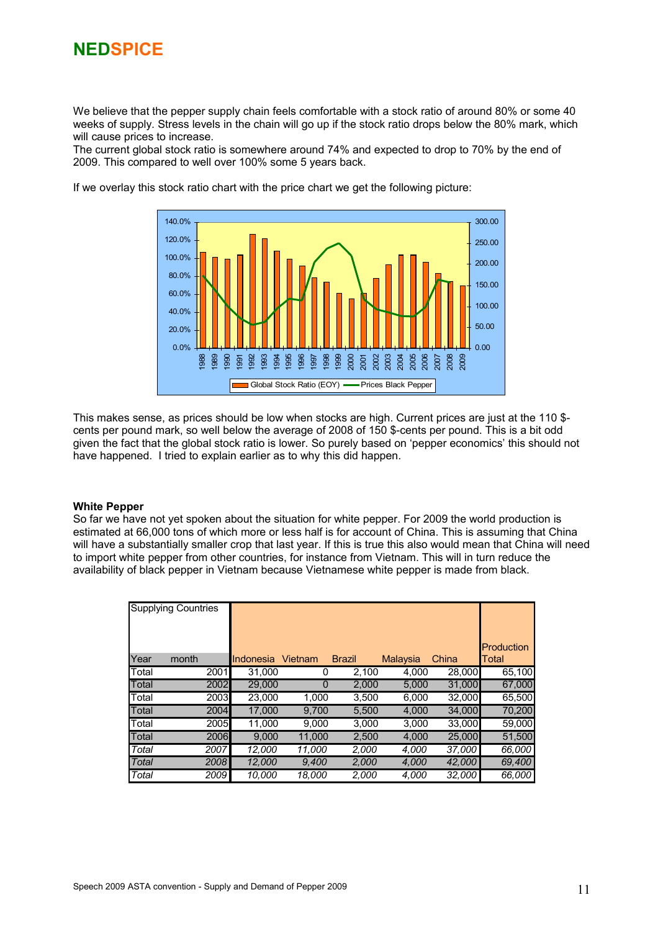We believe that the pepper supply chain feels comfortable with a stock ratio of around 80% or some 40 weeks of supply. Stress levels in the chain will go up if the stock ratio drops below the 80% mark, which will cause prices to increase.

The current global stock ratio is somewhere around 74% and expected to drop to 70% by the end of 2009. This compared to well over 100% some 5 years back.



If we overlay this stock ratio chart with the price chart we get the following picture:

This makes sense, as prices should be low when stocks are high. Current prices are just at the 110 \$ cents per pound mark, so well below the average of 2008 of 150 \$-cents per pound. This is a bit odd given the fact that the global stock ratio is lower. So purely based on 'pepper economics' this should not have happened. I tried to explain earlier as to why this did happen.

#### **White Pepper**

So far we have not yet spoken about the situation for white pepper. For 2009 the world production is estimated at 66,000 tons of which more or less half is for account of China. This is assuming that China will have a substantially smaller crop that last year. If this is true this also would mean that China will need to import white pepper from other countries, for instance from Vietnam. This will in turn reduce the availability of black pepper in Vietnam because Vietnamese white pepper is made from black.

|               | Supplying Countries |           |         |               |          |        | Production |
|---------------|---------------------|-----------|---------|---------------|----------|--------|------------|
| Year          | month               | Indonesia | Vietnam | <b>Brazil</b> | Malaysia | China  | Total      |
| <b>Total</b>  | 2001                | 31.000    | O       | 2,100         | 4,000    | 28,000 | 65.100     |
| Total         | 2002                | 29,000    | 0       | 2,000         | 5,000    | 31,000 | 67,000     |
| <b>T</b> otal | 2003                | 23,000    | 1.000   | 3,500         | 6.000    | 32,000 | 65,500     |
| Total         | 2004                | 17,000    | 9,700   | 5,500         | 4,000    | 34,000 | 70,200     |
| <b>Total</b>  | 2005                | 11,000    | 9,000   | 3,000         | 3,000    | 33,000 | 59,000     |
| Total         | 2006                | 9.000     | 11,000  | 2,500         | 4,000    | 25,000 | 51,500     |
| Total         | 2007                | 12,000    | 11,000  | 2,000         | 4,000    | 37,000 | 66,000     |
| Total         | 2008                | 12,000    | 9,400   | 2,000         | 4,000    | 42,000 | 69,400     |
| Total         | 2009                | 10,000    | 18.000  | 2,000         | 4,000    | 32,000 | 66,000     |